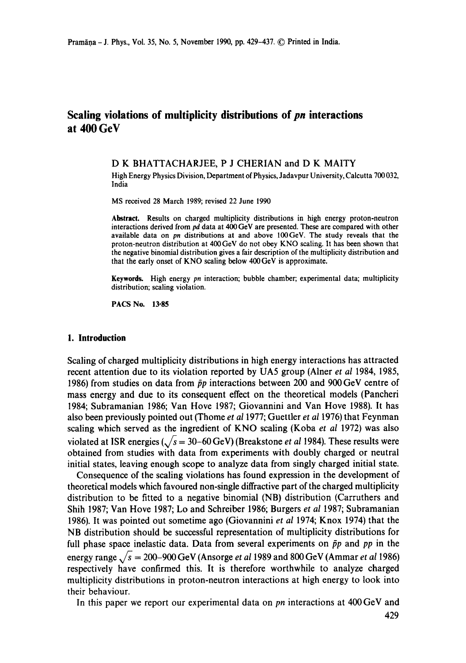# **Scaling violations of multiplicity distributions of** *pn* **interactions at 400 GeV**

#### D K BHATTACHARJEE, P J CHERIAN and D K MAITY

High Energy Physics Division, Department of Physics, Jadavpur University, Calcutta 700032, India

MS received 28 March 1989; revised 22 June 1990

**Abstract.** Results on charged multiplicity distributions in high energy proton-neutron interactions derived from *pd* data at 400 GeV are presented. These are compared with other available data on *pn* distributions at and above 100GeV. The study reveals that the proton-neutron distribution at 400GeV do not obey KNO scaling. It has been shown that the negative binomial distribution gives a fair description of the multiplicity distribution and that the early onset of KNO scaling below 400GeV is approximate.

**Keywords.** High energy *pn* interaction; bubble chamber; experimental data; multiplicity distribution; scaling violation.

**PACS No. 13.85** 

### **I. Introduction**

Scaling of charged multiplicity distributions in high energy interactions has attracted recent attention due to its violation reported by UA5 group (Alner *et al* 1984, 1985, 1986) from studies on data from  $\bar{p}p$  interactions between 200 and 900 GeV centre of mass energy and due to its consequent effect on the theoretical models (Pancheri 1984; Subramanian 1986; Van Hove 1987; Giovannini and Van Hove 1988). It has also been previously pointed out (Thome *et al* 1977; Guettler *et al* 1976) that Feynman scaling which served as the ingredient of KNO scaling (Koba *et al* 1972) was also violated at ISR energies ( $\sqrt{s}$  = 30–60 GeV) (Breakstone *et al* 1984). These results were obtained from studies with data from experiments with doubly charged or neutral initial states, leaving enough scope to analyze data from singly charged initial state.

Consequence of the scaling violations has found expression in the development of theoretical models which favoured non-single diffractive part of the charged multiplicity distribution to be fitted to a negative binomial (NB) distribution (Carruthers and Shih 1987; Van Hove 1987; Lo and Schreiber 1986; Burgers *et al* 1987; Subramanian 1986). It was pointed out sometime ago (Giovannini *et al* 1974; Knox 1974) that the NB distribution should be successful representation of multiplicity distributions for full phase space inelastic data. Data from several experiments on  $\bar{p}p$  and  $pp$  in the energy range  $\sqrt{s}$  = 200-900 GeV (Ansorge *et al* 1989 and 800 GeV (Ammar *et al* 1986) respectively have confirmed this. It is therefore worthwhile to analyze charged multiplicity distributions in proton-neutron interactions at high energy to look into their behaviour.

In this paper we report our experimental data on *pn* interactions at 400GeV and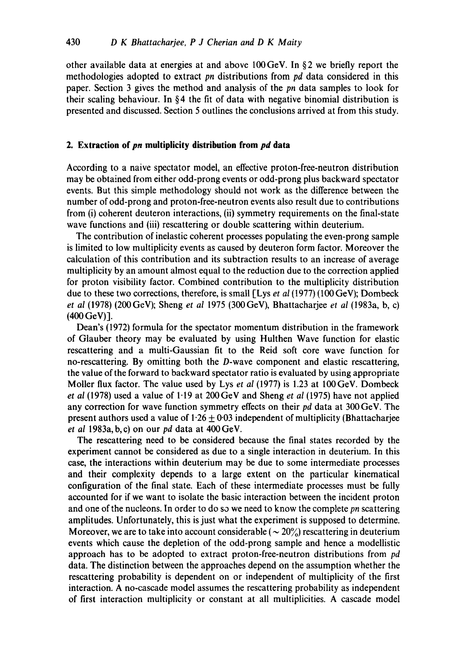other available data at energies at and above 100GeV. In §2 we briefly report the methodologies adopted to extract *pn* distributions from *pd* data considered in this paper. Section 3 gives the method and analysis of the *pn* data samples to look for their scaling behaviour. In §4 the fit of data with negative binomial distribution is presented and discussed. Section 5 outlines the conclusions arrived at from this study.

### **2. Extraction of** *pn* **multiplicity distribution from** *pd* **data**

According to a naive spectator model, an effective proton-free-neutron distribution may be obtained from either odd-prong events or odd-prong plus backward spectator events. But this simple methodology should not work as the difference between the number of odd-prong and proton-free-neutron events also result due to contributions from (i) coherent deuteron interactions, (ii) symmetry requirements on the final-state wave functions and (iii) rescattering or double scattering within deuterium.

The contribution of inelastic coherent processes populating the even-prong sample is limited to low multiplicity events as caused by deuteron form factor. Moreover the calculation of this contribution and its subtraction results to an increase of average multiplicity by an amount almost equal to the reduction due to the correction applied for proton visibility factor. Combined contribution to the multiplicity distribution due to these two corrections, therefore, is small [Lys *et al* (1977) (100 GeV); Dombeck *et al* (1978) (200GeV); Sheng *et al* 1975 (300GeV), Bhattacharjee *et al* (1983a, b, c) (400 GeV)].

Dean's (1972) formula for the spectator momentum distribution in the framework of Glauber theory may be evaluated by using Hulthen Wave function for elastic rescattering and a multi-Gaussian fit to the Reid soft core wave function for no-rescattering. By omitting both the D-wave component and elastic rescattering, the value of the forward to backward spectator ratio is evaluated by using appropriate Moiler flux factor. The value used by Lys *et al* (1977) is 1.23 at 100GeV. Dombeck *et al* (1978) used a value of 1.19 at 200GeV and Sheng *et al* (1975) have not applied any correction for wave function symmetry effects on their *pd* data at 300 GeV. The present authors used a value of  $1.26 \pm 0.03$  independent of multiplicity (Bhattacharjee *et al* 1983a, b,c) on our *pd* data at 400GeV.

The rescattering need to be considered because the final states recorded by the experiment cannot be considered as due to a single interaction in deuterium. In this case, the interactions within deuterium may be due to some intermediate processes and their complexity depends to a large extent on the particular kinematical configuration of the final state. Each of these intermediate processes must be fully accounted for if we want to isolate the basic interaction between the incident proton and one of the nucleons. In order to do so we need to know the complete *pn* scattering amplitudes. Unfortunately, this is just what the experiment is supposed to determine. Moreover, we are to take into account considerable ( $\sim 20\%$ ) rescattering in deuterium events which cause the depletion of the odd-prong sample and hence a modellistic approach has to be adopted to extract proton-free-neutron distributions from *pd*  data. The distinction between the approaches depend on the assumption whether the rescattering probability is dependent on or independent of multiplicity of the first interaction. A no-cascade model assumes the rescattering probability as independent of first interaction multiplicity or constant at all multiplicities. A cascade model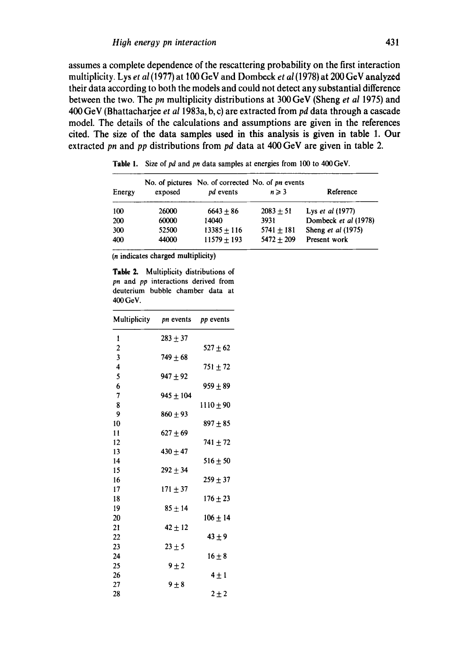**assumes a complete dependence of the rescattering probability on the first interaction multiplicity. Lys** *et al* **(1977) at 100 GeV and Dombcck** *et al* **(1978) at 200 GoV analyzed their data according to both the models and could not detect any substantial difference between the two. The** *pn* **multiplicity distributions at 300 GeV (Sheng** *et al* **1975) and 400 GeV (Bhattacharjee** *et al* **1983a, b, c) are extracted from** *pd* **data through a cascade model. The details of the calculations and assumptions are given in the references cited. The size of the data samples used in this analysis is given in table 1. Our extracted** *pn* **and** *pp* **distributions from** *pd* **data at 400 GeV are given in table 2.** 

| Energy | exposed | No. of pictures No. of corrected No. of pn events<br>pd events | $n \geqslant 3$ | Reference            |
|--------|---------|----------------------------------------------------------------|-----------------|----------------------|
| 100    | 26000   | $6643 + 86$                                                    | $2083 \pm 51$   | Lys et al (1977)     |
| 200    | 60000   | 14040                                                          | 3931            | Dombeck et al (1978) |
| 300    | 52500   | $13385 + 116$                                                  | $5741 + 181$    | Sheng et al (1975)   |
| 400    | 44000   | $11579 + 193$                                                  | $5472 + 209$    | Present work         |

Table 1. Size of *pd* and *pn* data samples at energies from 100 to 400 GeV.

**(n indicates charged multiplicity)** 

**Table 2.** Multiplicity distributions of *pn* and *pp* **interactions derived from deuterium bubble chamber data at 400GeV.** 

| Multiplicity            | <i>pn</i> events <i>pp</i> events |              |
|-------------------------|-----------------------------------|--------------|
| 1                       | $283 + 37$                        |              |
| $\overline{2}$          |                                   | $527 \pm 62$ |
| 3                       | $749 \pm 68$                      |              |
| $\overline{\mathbf{4}}$ |                                   | $751 + 72$   |
| 5                       | 947 ± 92                          |              |
| 6                       |                                   | $959 \pm 89$ |
| 7                       | $945 + 104$                       |              |
| 8                       |                                   | $1110 + 90$  |
| 9                       | $860 \pm 93$                      |              |
| 10                      |                                   | $897 \pm 85$ |
| 11                      | $627 \pm 69$                      |              |
| 12                      |                                   | $741 + 72$   |
| 13                      | $430 \pm 47$                      |              |
| 14                      |                                   | $516 \pm 50$ |
| 15                      | $292 \pm 34$                      |              |
| 16                      |                                   | $259 \pm 37$ |
| 17                      | $171 \pm 37$                      |              |
| 18                      |                                   | $176 \pm 23$ |
| 19                      | $85 + 14$                         |              |
| 20                      |                                   | $106 \pm 14$ |
| 21                      | $42 \pm 12$                       |              |
| 22                      |                                   | $43 \pm 9$   |
| 23                      | $23 \pm 5$                        |              |
| 24                      |                                   | $16 \pm 8$   |
| 25<br>26                | $9 \pm 2$                         |              |
| 27                      | $9+8$                             | $4 \pm 1$    |
| 28                      |                                   | $2 \pm 2$    |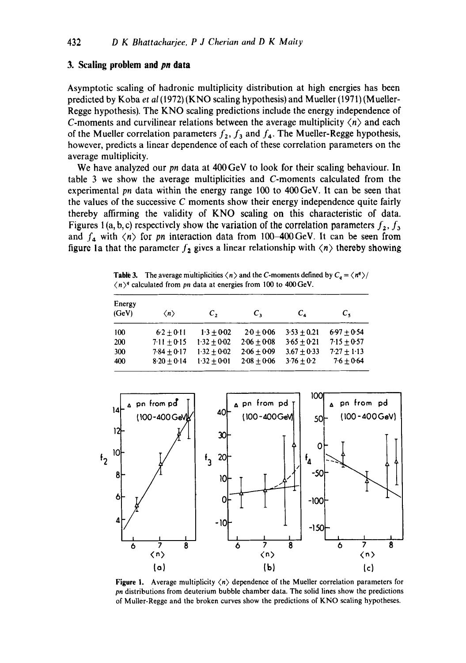## **3. Scaling problem and** *pn* **data**

Asymptotic scaling of hadronic multiplicity distribution at high energies has been predicted by Koba *et al* (1972) (KNO scaling hypothesis) and Mueller (1971) (M ueller-Regge hypothesis). The KNO scaling predictions include the energy independence of C-moments and curvilinear relations between the average multiplicity  $\langle n \rangle$  and each of the Mueller correlation parameters  $f_2$ ,  $f_3$  and  $f_4$ . The Mueller-Regge hypothesis, however, predicts a linear dependence of each of these correlation parameters on the average multiplicity.

We have analyzed our *pn* data at 400 GeV to look for their scaling behaviour. In table 3 we show the average multiplicities and C-moments calculated from the experimental *pn* data within the energy range 100 to 400GeV. It can be seen that the values of the successive C moments show their energy independence quite fairly thereby affirming the validity of KNO scaling on this characteristic of data. Figures 1(a, b, c) respectively show the variation of the correlation parameters  $f_2$ ,  $f_3$ and  $f_4$  with  $\langle n \rangle$  for *pn* interaction data from 100-400 GeV. It can be seen from figure 1a that the parameter  $f_2$  gives a linear relationship with  $\langle n \rangle$  thereby showing

**Table 3.** The average multiplicities  $\langle n \rangle$  and the C-moments defined by  $C_a = \langle n^q \rangle /$  $(n)$ <sup>4</sup> calculated from *pn* data at energies from 100 to 400 GeV.

| Energy<br>(GeV) | $\langle n \rangle$ | C,            | $\mathcal{C}_{\mathbf{1}}$ | $c_{\rm A}$   | $c_{\star}$   |
|-----------------|---------------------|---------------|----------------------------|---------------|---------------|
| 100             | $6.2 + 0.11$        | $1.3 + 0.02$  | $20 + 0.06$                | $3.53 + 0.21$ | $6.97 + 0.54$ |
| 200             | $7.11 + 0.15$       | $1.32 + 0.02$ | $2.06 + 0.08$              | $3.65 + 0.21$ | $7.15 + 0.57$ |
| 300             | $7.84 + 0.17$       | $1.32 + 0.02$ | $2.06 + 0.09$              | $3.67 + 0.33$ | $7.27 + 1.13$ |
| 400             | $8.20 + 0.14$       | $1.32 + 0.01$ | $2 - 08 + 0 - 06$          | $3.76 + 0.2$  | $7.6 + 0.64$  |



**Figure 1.** Average multiplicity  $\langle n \rangle$  dependence of the Mueller correlation parameters for *pn* distributions from deuterium bubble chamber data. The solid lines show the predictions of Muller-Regge and the broken curves show the predictions of KNO scaling hypotheses.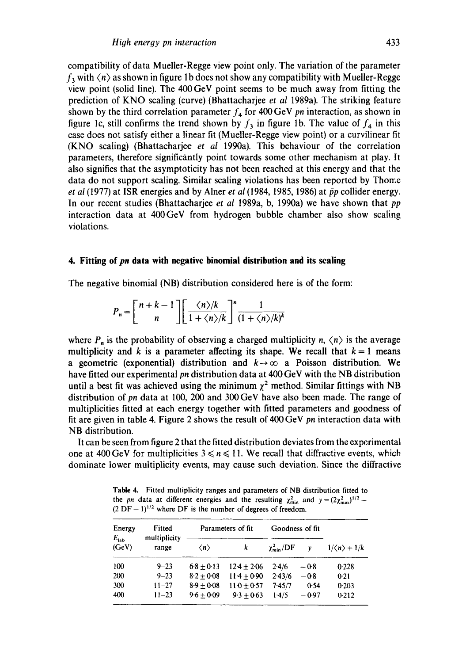compatibility of data Mueller-Regge view point only. The variation of the parameter  $f_3$  with  $\langle n \rangle$  as shown in figure 1b does not show any compatibility with Mueller-Regge view point (solid line). The 400 GeV point seems to be much away from fitting the prediction of KNO scaling (curve) (Bhattacharjee *et al* 1989a). The striking feature shown by the third correlation parameter  $f_4$  for 400 GeV *pn* interaction, as shown in figure 1c, still confirms the trend shown by  $f_3$  in figure 1b. The value of  $f_4$  in this case does not satisfy either a linear fit (Mueller-Regge view point) or a curvilinear fit (KNO scaling) (Bhattacharjee *et aI* 1990a). This behaviour of the correlation parameters, therefore significantly point towards some other mechanism at play. It also signifies that the asymptoticity has not been reached at this energy and that the data do not support scaling. Similar scaling violations has been reported by Thome *et al* (1977) at ISR energies and by Alner *et al* (1984, 1985, 1986) at  $\bar{p}p$  collider energy. In our recent studies (Bhattacharjee *et al* 1989a, b, 1990a) we have shown that *pp*  interaction data at 400GeV from hydrogen bubble chamber also show scaling violations.

#### **4. Fitting of** *pn* **data with negative binomial distribution and its scaling**

The negative binomial (NB) distribution considered here is of the form:

$$
P_n = \left[ \frac{n+k-1}{n} \right] \left[ \frac{\langle n \rangle / k}{1 + \langle n \rangle / k} \right]^n \frac{1}{(1 + \langle n \rangle / k)^k}
$$

where  $P_n$  is the probability of observing a charged multiplicity n,  $\langle n \rangle$  is the average multiplicity and k is a parameter affecting its shape. We recall that  $k = 1$  means a geometric (exponential) distribution and  $k \rightarrow \infty$  a Poisson distribution. We have fitted our experimental *pn* distribution data at 400 GeV with the NB distribution until a best fit was achieved using the minimum  $\chi^2$  method. Similar fittings with NB distribution of pn data at 100, 200 and 300 GeV have also been made. The range of multiplicities fitted at each energy together with fitted parameters and goodness of fit are given in table 4. Figure 2 shows the result of 400 GeV *pn* interaction data with NB distribution.

It can be seen from figure 2 that the fitted distribution deviates from the experimental one at 400 GeV for multiplicities  $3 \le n \le 11$ . We recall that diffractive events, which dominate lower multiplicity events, may cause such deviation. Since the diffractive

**Table** 4. Fitted multiplicity ranges and parameters of NB distribution fitted to the *pn* data at different energies and the resulting  $\chi^2_{\text{min}}$  and  $y=(2\chi^2_{\text{min}})^{1/2}-1$  $(2 DF - 1)^{1/2}$  where DF is the number of degrees of freedom.

| Energy                 | Fitted                | Parameters of fit   |               | Goodness of fit           |         |             |
|------------------------|-----------------------|---------------------|---------------|---------------------------|---------|-------------|
| $E_{\rm lab}$<br>(GeV) | multiplicity<br>range | $\langle n \rangle$ | k             | $\chi^2_{\rm min}/\rm DF$ | v       | $1/(n)+1/k$ |
| 100                    | $9 - 23$              | $6.8 + 0.13$        | $12.4 + 2.06$ | 2.4/6                     | $-0.8$  | 0.228       |
| 200                    | $9 - 23$              | $8.2 + 0.08$        | $11-4 + 0.90$ | 2.43/6                    | $-0.8$  | 0.21        |
| 300                    | $11 - 27$             | $8.9 + 0.08$        | $110 + 0.57$  | 7.45/7                    | 0.54    | 0.203       |
| 400                    | $11 - 23$             | $9.6 + 0.09$        | $9.3 + 0.63$  | 1.4/5                     | $-0.97$ | 0.212       |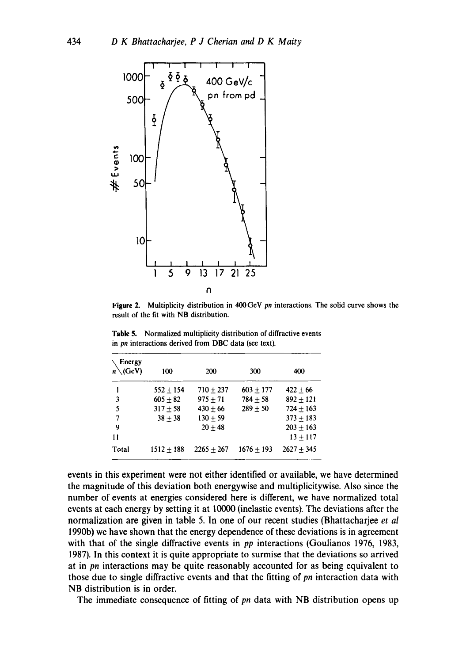

Figure 2. Multiplicity distribution in 400GeV *pn* interactions. The solid curve shows the result of the fit with NB distribution.

| Energy<br>$n \setminus (GeV)$ | 100           | 200          | 300          | 400          |
|-------------------------------|---------------|--------------|--------------|--------------|
| 1                             | $552 \pm 154$ | $710 + 237$  | $603 + 177$  | $422 + 66$   |
| 3                             | $605 + 82$    | $975 + 71$   | $784 + 58$   | $892 + 121$  |
| 5                             | $317 + 58$    | $430 + 66$   | $289 + 50$   | $724 + 163$  |
| 7                             | $38 + 38$     | $130 + 59$   |              | $373 + 183$  |
| 9                             |               | $20 + 48$    |              | $203 + 163$  |
| 1 t                           |               |              |              | $13 + 117$   |
| Total                         | $1512 + 188$  | $2265 + 267$ | $1676 + 193$ | $2627 + 345$ |

**Table 5.**  Normalized multiplicity distribution of diffractive events in *pn* interactions derived from DBC data (see text).

events in this experiment were not either identified or available, we have determined the magnitude of this deviation both energywise and multiplicitywise. Also since the number of events at energies considered here is different, we have normalized total events at each energy by setting it at 10000 (inelastic events). The deviations after the normalization are given in table 5. In one of our recent studies (Bhattacharjee *et al*  1990b) we have shown that the energy dependence of these deviations is in agreement with that of the single diffractive events in *pp* interactions (Goulianos 1976, 1983, 1987). In this context it is quite appropriate to surmise that the deviations so arrived at in *pn* interactions may be quite reasonably accounted for as being equivalent to those due to single diffractive events and that the fitting of *pn* interaction data with NB distribution is in order.

The immediate consequence of fitting of *pn* data with NB distribution opens up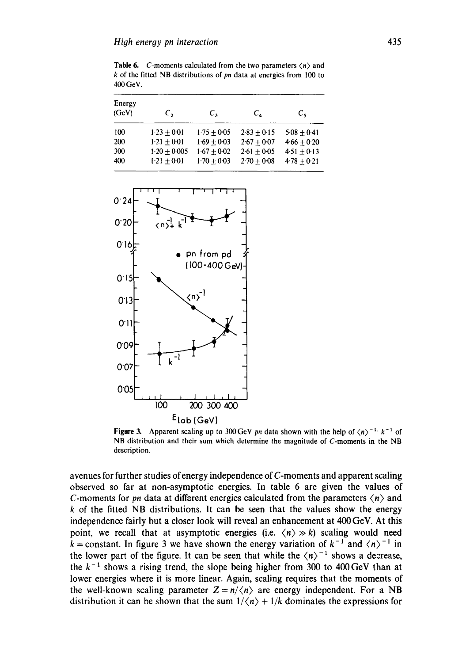**Table 6.** C-moments calculated from the two parameters  $\langle n \rangle$  and k of the fitted NB distributions of *pn* data at energies from 100 to 400 GeV.

| Energy<br>(GeV) | $\mathcal{C}_{2}$ | $\mathcal{C}_{\mathcal{X}}$ | $C_{\alpha}$  | $c_{\rm s}$     |
|-----------------|-------------------|-----------------------------|---------------|-----------------|
| 100             | $1-23 + 0.01$     | $1.75 + 0.05$               | $2.83 + 0.15$ | $5.08 + 0.41$   |
| 200             | $1.21 + 0.01$     | $1.69 + 0.03$               | $2.67 + 0.07$ | $4.66 + 0.20$   |
| 300             | $1.20 + 0.005$    | $1.67 + 0.02$               | $2.61 + 0.05$ | $4.51 \pm 0.13$ |
| 400             | $1.21 + 0.01$     | $1.70 + 0.03$               | $2.70 + 0.08$ | $4.78 + 0.21$   |



Figure 3. Apparent scaling up to 300 GeV *pn* data shown with the help of  $\langle n \rangle^{-1}$ ,  $k^{-1}$  of NB distribution and their sum which determine the magnitude of C-moments in the NB description.

avenues for further studies of energy independence of C-moments and apparent scaling observed so far at non-asymptotic energies. In table 6 are given the values of C-moments for *pn* data at different energies calculated from the parameters  $\langle n \rangle$  and  $k$  of the fitted NB distributions. It can be seen that the values show the energy independence fairly but a closer look will reveal an enhancement at 400 GeV. At this point, we recall that at asymptotic energies (i.e.  $\langle n \rangle \gg k$ ) scaling would need k = constant. In figure 3 we have shown the energy variation of  $k^{-1}$  and  $\langle n \rangle^{-1}$  in the lower part of the figure. It can be seen that while the  $\langle n \rangle^{-1}$  shows a decrease, the  $k^{-1}$  shows a rising trend, the slope being higher from 300 to 400 GeV than at lower energies where it is more linear. Again, scaling requires that the moments of the well-known scaling parameter  $Z = n/\langle n \rangle$  are energy independent. For a NB distribution it can be shown that the sum  $1/\langle n \rangle + 1/k$  dominates the expressions for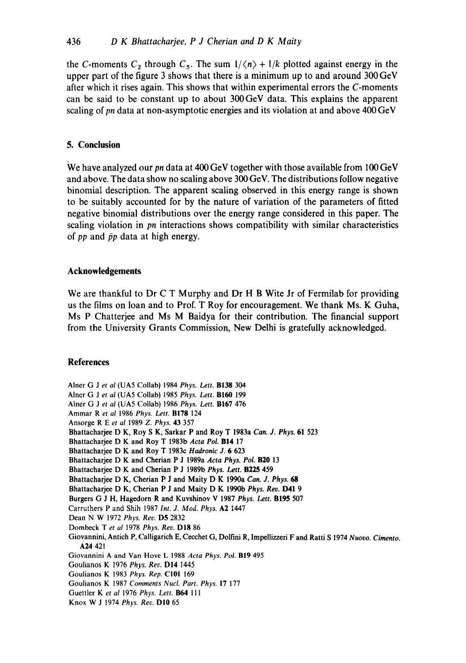the C-moments  $C_2$ , through  $C_5$ . The sum  $1/\langle n \rangle + 1/k$  plotted against energy in the **upper part of the figure 3 shows that there is a minimum up to and around 300 GeV after which it rises again. This shows that within experimental errors the C-moments can be said to be constant up to about 300GeV data. This explains the apparent scaling of** *pn* **data at non-asymptotic energies and its violation at and above 400 GeV** 

# **5. Conclusion**

**We have analyzed our** *pn* **data at 400 GeV together with those available from 100 GeV and above. The data show no scaling above 300 GeV. The distributions follow negative binomial description. The apparent scaling observed in this energy range is shown to be suitably accounted for by the nature of variation of the parameters of fitted negative binomial distributions over the energy range considered in this paper. The scaling violation in** *pn* **interactions shows compatibility with similar characteristics**  of  $pp$  and  $\bar{p}p$  data at high energy.

## **Acknowledgements**

**We are thankful to Dr C T Murphy and Dr H B Wite Jr of Fermilab for providing us the films on loan and to Prof. T Roy for encouragement. We thank Ms. K Guha, Ms P Chatterjee and Ms M Baidya for their contribution. The financial support from the University Grants Commission, New Delhi is gratefully acknowledged.** 

# **References**

**Alner** G Jet *al* (UA5 Collab) 1984 *Phys. Lett.* B138 304 **Alner** G Jet *al* (UA5 Collab) 1985 *Phys. Lett.* BI60 199 **Alner** G J *et af* (UA5 Collab) 1986 *Phys. Lett.* B167 476 **Ammar R** *et al* 1986 *Phys. Lett.* B178 124 **Ansorge** R E *et al* 1989 *Z. Phys.* 43 357 **Bhanacharjee** D K, Roy S K, Sarkar P and Roy T 1983a *Can. J. Phys.* 61 523 Bhattacharjee D K and Roy T 1983b Acta Pol. **B14** 17 **Bhattacharjee** D K and Roy T 1983c *Hadronic* J. 6 623 Bhattacharjee D K and Cherian P J 1989a Acta Phys. Pol. **B20** 13 Bhattacharjee D K and Cherian P J 1989b *Phys. Lett.* **B225 459** Bhattacharjee D K, Cherian P J and Maity D K 1990a *Can. J. Phys.* 68 **Bhattacharjee** D K, Cherian P J **and Maity** D K 1990b *Phys. Rev.* D41 9 **Burgers** G J H, Hagedorn R **and Kuvshinov** V 1987 *Phys. Lett.* B195 507 **Carruthers P and Shih** 1987 *Int. d. Mod. Phys.* A2 1447 **Dean** N W 1972 *Phys. Rev.* D5 2832 **Dombeck** T *et al* 1978 *Phys. Rev.* DI8 86 **Giovannini, Antich P, Calligarich E, Cecehet** G, Dolfini R, Impellizzeri F **and Ratti** S 1974 *Nuovo. Cimento.*  A24 421 **Giovannini A and Van Hove** L 1988 *Acta Phys. Pol.* BI9 495 **Goulianos** K 1976 *Phys. Rev.* DI4 1445 **Goulianos** K 1983 *Phys. Rep.* CI01 169 **Goulianos** K 1987 *Comments Nucl. Part. Phys.* 17 177 **Guettler** K *et al* 1976 *Phys. Lett. 1164 111*  Knox W J 1974 *Phys. Rev.* DI0 65